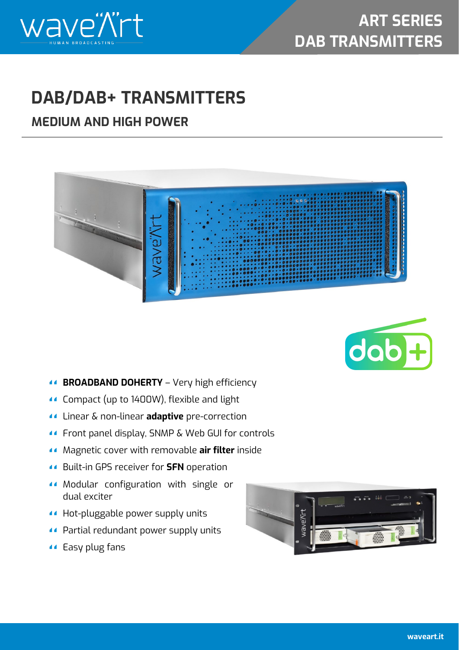



## **DAB/DAB+ TRANSMITTERS**

## **MEDIUM AND HIGH POWER**





- **BROADBAND DOHERTY** Very high efficiency
- **Compact (up to 1400W), flexible and light**
- Linear & non-linear **adaptive** pre-correction
- Front panel display, SNMP & Web GUI for controls
- Magnetic cover with removable **air filter** inside
- Built-in GPS receiver for **SFN** operation
- Modular configuration with single or dual exciter
- Hot-pluggable power supply units
- Partial redundant power supply units
- Easy plug fans